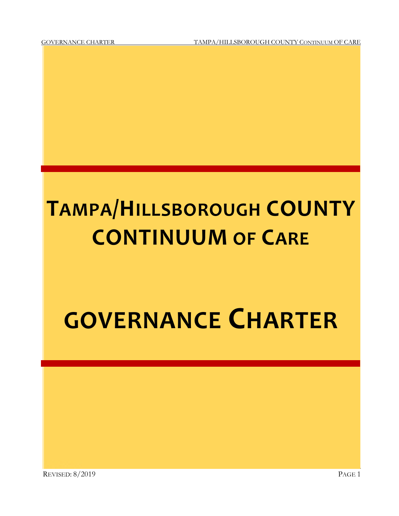GOVERNANCE CHARTER TAMPA/HILLSBOROUGH COUNTY CONTINUUM OF CARE

# **TAMPA/HILLSBOROUGH COUNTY CONTINUUM OF CARE**

## **GOVERNANCE CHARTER**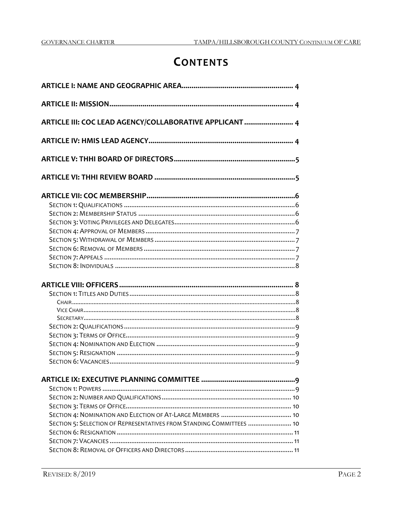## **CONTENTS**

| ARTICLE III: COC LEAD AGENCY/COLLABORATIVE APPLICANT  4              |
|----------------------------------------------------------------------|
|                                                                      |
|                                                                      |
|                                                                      |
|                                                                      |
|                                                                      |
|                                                                      |
|                                                                      |
|                                                                      |
|                                                                      |
|                                                                      |
|                                                                      |
|                                                                      |
|                                                                      |
|                                                                      |
|                                                                      |
|                                                                      |
|                                                                      |
|                                                                      |
|                                                                      |
|                                                                      |
|                                                                      |
|                                                                      |
|                                                                      |
|                                                                      |
|                                                                      |
|                                                                      |
|                                                                      |
|                                                                      |
| SECTION 5: SELECTION OF REPRESENTATIVES FROM STANDING COMMITTEES  10 |
|                                                                      |
|                                                                      |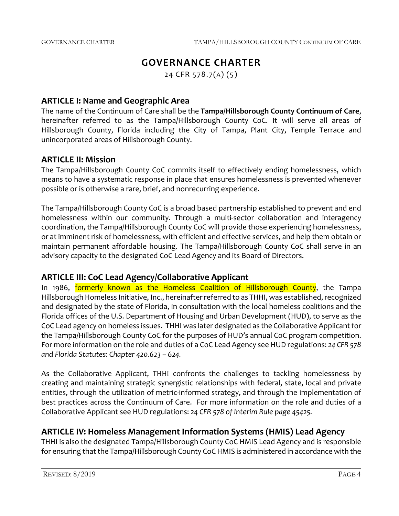## **GOVERNANCE CHARTER**

24 CFR 578.7(A) (5)

## **ARTICLE I: Name and Geographic Area**

The name of the Continuum of Care shall be the **Tampa/Hillsborough County Continuum of Care**, hereinafter referred to as the Tampa/Hillsborough County CoC. It will serve all areas of Hillsborough County, Florida including the City of Tampa, Plant City, Temple Terrace and unincorporated areas of Hillsborough County.

## **ARTICLE II: Mission**

The Tampa/Hillsborough County CoC commits itself to effectively ending homelessness, which means to have a systematic response in place that ensures homelessness is prevented whenever possible or is otherwise a rare, brief, and nonrecurring experience.

The Tampa/Hillsborough County CoC is a broad based partnership established to prevent and end homelessness within our community. Through a multi-sector collaboration and interagency coordination, the Tampa/Hillsborough County CoC will provide those experiencing homelessness, or at imminent risk of homelessness, with efficient and effective services, and help them obtain or maintain permanent affordable housing. The Tampa/Hillsborough County CoC shall serve in an advisory capacity to the designated CoC Lead Agency and its Board of Directors.

## **ARTICLE III: CoC Lead Agency/Collaborative Applicant**

In 1986, formerly known as the Homeless Coalition of Hillsborough County, the Tampa Hillsborough Homeless Initiative, Inc., hereinafter referred to as THHI, was established, recognized and designated by the state of Florida, in consultation with the local homeless coalitions and the Florida offices of the U.S. Department of Housing and Urban Development (HUD), to serve as the CoC Lead agency on homeless issues. THHI was later designated as the Collaborative Applicant for the Tampa/Hillsborough County CoC for the purposes of HUD's annual CoC program competition. For more information on the role and duties of a CoC Lead Agency see HUD regulations: *24 CFR 578 and Florida Statutes: Chapter 420.623 – 624.*

As the Collaborative Applicant, THHI confronts the challenges to tackling homelessness by creating and maintaining strategic synergistic relationships with federal, state, local and private entities, through the utilization of metric-informed strategy, and through the implementation of best practices across the Continuum of Care. For more information on the role and duties of a Collaborative Applicant see HUD regulations: *24 CFR 578 of Interim Rule page 45425.*

## **ARTICLE IV: Homeless Management Information Systems (HMIS) Lead Agency**

THHI is also the designated Tampa/Hillsborough County CoC HMIS Lead Agency and is responsible for ensuring that the Tampa/Hillsborough County CoC HMIS is administered in accordance with the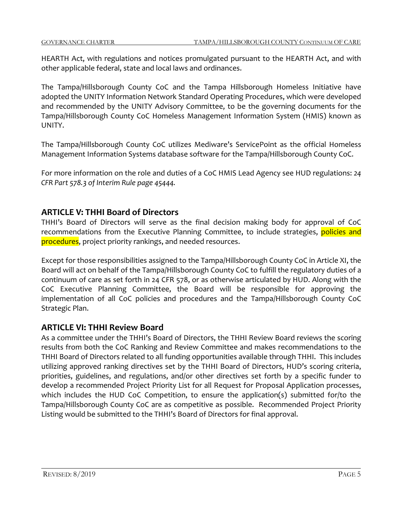HEARTH Act, with regulations and notices promulgated pursuant to the HEARTH Act, and with other applicable federal, state and local laws and ordinances.

The Tampa/Hillsborough County CoC and the Tampa Hillsborough Homeless Initiative have adopted the UNITY Information Network Standard Operating Procedures, which were developed and recommended by the UNITY Advisory Committee, to be the governing documents for the Tampa/Hillsborough County CoC Homeless Management Information System (HMIS) known as UNITY.

The Tampa/Hillsborough County CoC utilizes Mediware's ServicePoint as the official Homeless Management Information Systems database software for the Tampa/Hillsborough County CoC.

For more information on the role and duties of a CoC HMIS Lead Agency see HUD regulations: *24 CFR Part 578.3 of Interim Rule page 45444.*

## **ARTICLE V: THHI Board of Directors**

THHI's Board of Directors will serve as the final decision making body for approval of CoC recommendations from the Executive Planning Committee, to include strategies, policies and procedures, project priority rankings, and needed resources.

Except for those responsibilities assigned to the Tampa/Hillsborough County CoC in Article XI, the Board will act on behalf of the Tampa/Hillsborough County CoC to fulfill the regulatory duties of a continuum of care as set forth in 24 CFR 578, or as otherwise articulated by HUD. Along with the CoC Executive Planning Committee, the Board will be responsible for approving the implementation of all CoC policies and procedures and the Tampa/Hillsborough County CoC Strategic Plan.

## **ARTICLE VI: THHI Review Board**

As a committee under the THHI's Board of Directors, the THHI Review Board reviews the scoring results from both the CoC Ranking and Review Committee and makes recommendations to the THHI Board of Directors related to all funding opportunities available through THHI. This includes utilizing approved ranking directives set by the THHI Board of Directors, HUD's scoring criteria, priorities, guidelines, and regulations, and/or other directives set forth by a specific funder to develop a recommended Project Priority List for all Request for Proposal Application processes, which includes the HUD CoC Competition, to ensure the application(s) submitted for/to the Tampa/Hillsborough County CoC are as competitive as possible. Recommended Project Priority Listing would be submitted to the THHI's Board of Directors for final approval.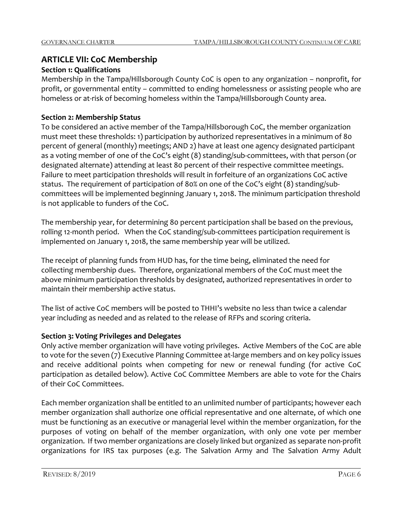## **ARTICLE VII: CoC Membership**

## **Section 1: Qualifications**

Membership in the Tampa/Hillsborough County CoC is open to any organization – nonprofit, for profit, or governmental entity – committed to ending homelessness or assisting people who are homeless or at-risk of becoming homeless within the Tampa/Hillsborough County area.

## **Section 2: Membership Status**

To be considered an active member of the Tampa/Hillsborough CoC, the member organization must meet these thresholds: 1) participation by authorized representatives in a minimum of 80 percent of general (monthly) meetings; AND 2) have at least one agency designated participant as a voting member of one of the CoC's eight (8) standing/sub-committees, with that person (or designated alternate) attending at least 80 percent of their respective committee meetings. Failure to meet participation thresholds will result in forfeiture of an organizations CoC active status. The requirement of participation of 80% on one of the CoC's eight (8) standing/subcommittees will be implemented beginning January 1, 2018. The minimum participation threshold is not applicable to funders of the CoC.

The membership year, for determining 80 percent participation shall be based on the previous, rolling 12-month period. When the CoC standing/sub-committees participation requirement is implemented on January 1, 2018, the same membership year will be utilized.

The receipt of planning funds from HUD has, for the time being, eliminated the need for collecting membership dues. Therefore, organizational members of the CoC must meet the above minimum participation thresholds by designated, authorized representatives in order to maintain their membership active status.

The list of active CoC members will be posted to THHI's website no less than twice a calendar year including as needed and as related to the release of RFPs and scoring criteria.

## **Section 3: Voting Privileges and Delegates**

Only active member organization will have voting privileges. Active Members of the CoC are able to vote for the seven (7) Executive Planning Committee at-large members and on key policy issues and receive additional points when competing for new or renewal funding (for active CoC participation as detailed below). Active CoC Committee Members are able to vote for the Chairs of their CoC Committees.

Each member organization shall be entitled to an unlimited number of participants; however each member organization shall authorize one official representative and one alternate, of which one must be functioning as an executive or managerial level within the member organization, for the purposes of voting on behalf of the member organization, with only one vote per member organization. If two member organizations are closely linked but organized as separate non-profit organizations for IRS tax purposes (e.g. The Salvation Army and The Salvation Army Adult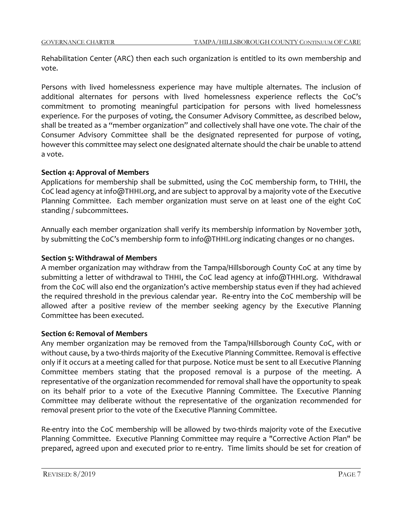Rehabilitation Center (ARC) then each such organization is entitled to its own membership and vote.

Persons with lived homelessness experience may have multiple alternates. The inclusion of additional alternates for persons with lived homelessness experience reflects the CoC's commitment to promoting meaningful participation for persons with lived homelessness experience. For the purposes of voting, the Consumer Advisory Committee, as described below, shall be treated as a "member organization" and collectively shall have one vote. The chair of the Consumer Advisory Committee shall be the designated represented for purpose of voting, however this committee may select one designated alternate should the chair be unable to attend a vote.

## **Section 4: Approval of Members**

Applications for membership shall be submitted, using the CoC membership form, to THHI, the CoC lead agency at info@THHI.org, and are subject to approval by a majority vote of the Executive Planning Committee. Each member organization must serve on at least one of the eight CoC standing / subcommittees.

Annually each member organization shall verify its membership information by November 30th, by submitting the CoC's membership form to info@THHI.org indicating changes or no changes.

## **Section 5: Withdrawal of Members**

A member organization may withdraw from the Tampa/Hillsborough County CoC at any time by submitting a letter of withdrawal to THHI, the CoC lead agency at info@THHI.org. Withdrawal from the CoC will also end the organization's active membership status even if they had achieved the required threshold in the previous calendar year. Re-entry into the CoC membership will be allowed after a positive review of the member seeking agency by the Executive Planning Committee has been executed.

## **Section 6: Removal of Members**

Any member organization may be removed from the Tampa/Hillsborough County CoC, with or without cause, by a two-thirds majority of the Executive Planning Committee. Removal is effective only if it occurs at a meeting called for that purpose. Notice must be sent to all Executive Planning Committee members stating that the proposed removal is a purpose of the meeting. A representative of the organization recommended for removal shall have the opportunity to speak on its behalf prior to a vote of the Executive Planning Committee. The Executive Planning Committee may deliberate without the representative of the organization recommended for removal present prior to the vote of the Executive Planning Committee.

Re-entry into the CoC membership will be allowed by two-thirds majority vote of the Executive Planning Committee. Executive Planning Committee may require a "Corrective Action Plan" be prepared, agreed upon and executed prior to re-entry. Time limits should be set for creation of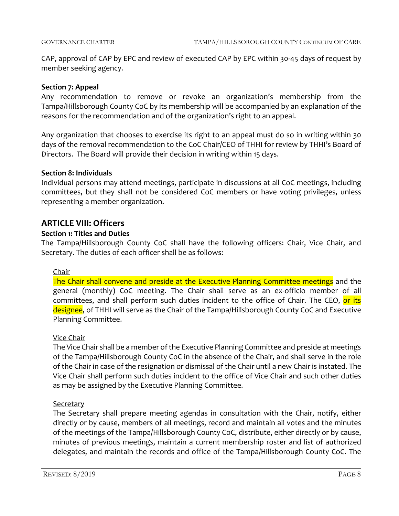CAP, approval of CAP by EPC and review of executed CAP by EPC within 30-45 days of request by member seeking agency.

#### **Section 7: Appeal**

Any recommendation to remove or revoke an organization's membership from the Tampa/Hillsborough County CoC by its membership will be accompanied by an explanation of the reasons for the recommendation and of the organization's right to an appeal.

Any organization that chooses to exercise its right to an appeal must do so in writing within 30 days of the removal recommendation to the CoC Chair/CEO of THHI for review by THHI's Board of Directors. The Board will provide their decision in writing within 15 days.

#### **Section 8: Individuals**

Individual persons may attend meetings, participate in discussions at all CoC meetings, including committees, but they shall not be considered CoC members or have voting privileges, unless representing a member organization.

## **ARTICLE VIII: Officers**

## **Section 1: Titles and Duties**

The Tampa/Hillsborough County CoC shall have the following officers: Chair, Vice Chair, and Secretary. The duties of each officer shall be as follows:

#### Chair

The Chair shall convene and preside at the Executive Planning Committee meetings and the general (monthly) CoC meeting. The Chair shall serve as an ex-officio member of all committees, and shall perform such duties incident to the office of Chair. The CEO, <mark>or its</mark> designee, of THHI will serve as the Chair of the Tampa/Hillsborough County CoC and Executive Planning Committee.

#### Vice Chair

The Vice Chair shall be a member of the Executive Planning Committee and preside at meetings of the Tampa/Hillsborough County CoC in the absence of the Chair, and shall serve in the role of the Chair in case of the resignation or dismissal of the Chair until a new Chair is instated. The Vice Chair shall perform such duties incident to the office of Vice Chair and such other duties as may be assigned by the Executive Planning Committee.

#### **Secretary**

The Secretary shall prepare meeting agendas in consultation with the Chair, notify, either directly or by cause, members of all meetings, record and maintain all votes and the minutes of the meetings of the Tampa/Hillsborough County CoC, distribute, either directly or by cause, minutes of previous meetings, maintain a current membership roster and list of authorized delegates, and maintain the records and office of the Tampa/Hillsborough County CoC. The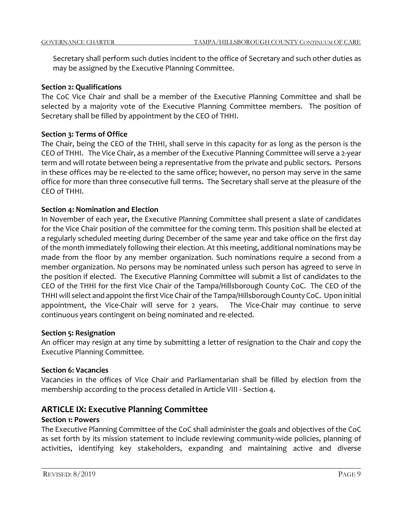Secretary shall perform such duties incident to the office of Secretary and such other duties as may be assigned by the Executive Planning Committee.

#### **Section 2: Qualifications**

The CoC Vice Chair and shall be a member of the Executive Planning Committee and shall be selected by a majority vote of the Executive Planning Committee members. The position of Secretary shall be filled by appointment by the CEO of THHI.

## **Section 3: Terms of Office**

The Chair, being the CEO of the THHI, shall serve in this capacity for as long as the person is the CEO of THHI. The Vice Chair, as a member of the Executive Planning Committee will serve a 2-year term and will rotate between being a representative from the private and public sectors. Persons in these offices may be re-elected to the same office; however, no person may serve in the same office for more than three consecutive full terms. The Secretary shall serve at the pleasure of the CEO of THHI.

## **Section 4: Nomination and Election**

In November of each year, the Executive Planning Committee shall present a slate of candidates for the Vice Chair position of the committee for the coming term. This position shall be elected at a regularly scheduled meeting during December of the same year and take office on the first day of the month immediately following their election. At this meeting, additional nominations may be made from the floor by any member organization. Such nominations require a second from a member organization. No persons may be nominated unless such person has agreed to serve in the position if elected. The Executive Planning Committee will submit a list of candidates to the CEO of the THHI for the first Vice Chair of the Tampa/Hillsborough County CoC. The CEO of the THHI will select and appoint the first Vice Chair of the Tampa/Hillsborough County CoC. Upon initial appointment, the Vice-Chair will serve for 2 years. The Vice-Chair may continue to serve continuous years contingent on being nominated and re-elected.

## **Section 5: Resignation**

An officer may resign at any time by submitting a letter of resignation to the Chair and copy the Executive Planning Committee.

## **Section 6: Vacancies**

Vacancies in the offices of Vice Chair and Parliamentarian shall be filled by election from the membership according to the process detailed in Article VIII - Section 4.

## **ARTICLE IX: Executive Planning Committee**

## **Section 1: Powers**

The Executive Planning Committee of the CoC shall administer the goals and objectives of the CoC as set forth by its mission statement to include reviewing community-wide policies, planning of activities, identifying key stakeholders, expanding and maintaining active and diverse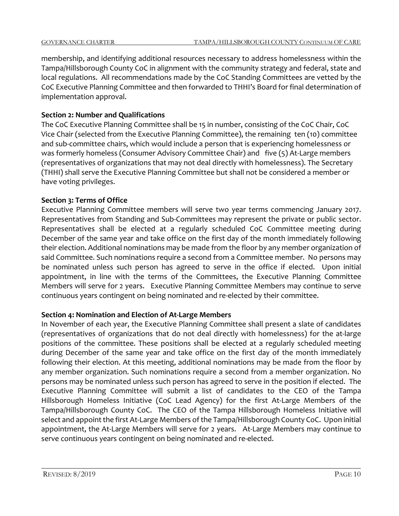membership, and identifying additional resources necessary to address homelessness within the Tampa/Hillsborough County CoC in alignment with the community strategy and federal, state and local regulations. All recommendations made by the CoC Standing Committees are vetted by the CoC Executive Planning Committee and then forwarded to THHI's Board for final determination of implementation approval.

## **Section 2: Number and Qualifications**

The CoC Executive Planning Committee shall be 15 in number, consisting of the CoC Chair, CoC Vice Chair (selected from the Executive Planning Committee), the remaining ten (10) committee and sub-committee chairs, which would include a person that is experiencing homelessness or was formerly homeless (Consumer Advisory Committee Chair) and five (5) At-Large members (representatives of organizations that may not deal directly with homelessness). The Secretary (THHI) shall serve the Executive Planning Committee but shall not be considered a member or have voting privileges.

## **Section 3: Terms of Office**

Executive Planning Committee members will serve two year terms commencing January 2017. Representatives from Standing and Sub-Committees may represent the private or public sector. Representatives shall be elected at a regularly scheduled CoC Committee meeting during December of the same year and take office on the first day of the month immediately following their election. Additional nominations may be made from the floor by any member organization of said Committee. Such nominations require a second from a Committee member. No persons may be nominated unless such person has agreed to serve in the office if elected. Upon initial appointment, in line with the terms of the Committees, the Executive Planning Committee Members will serve for 2 years. Executive Planning Committee Members may continue to serve continuous years contingent on being nominated and re-elected by their committee.

## **Section 4: Nomination and Election of At-Large Members**

In November of each year, the Executive Planning Committee shall present a slate of candidates (representatives of organizations that do not deal directly with homelessness) for the at-large positions of the committee. These positions shall be elected at a regularly scheduled meeting during December of the same year and take office on the first day of the month immediately following their election. At this meeting, additional nominations may be made from the floor by any member organization. Such nominations require a second from a member organization. No persons may be nominated unless such person has agreed to serve in the position if elected. The Executive Planning Committee will submit a list of candidates to the CEO of the Tampa Hillsborough Homeless Initiative (CoC Lead Agency) for the first At-Large Members of the Tampa/Hillsborough County CoC. The CEO of the Tampa Hillsborough Homeless Initiative will select and appoint the first At-Large Members of the Tampa/Hillsborough County CoC. Upon initial appointment, the At-Large Members will serve for 2 years. At-Large Members may continue to serve continuous years contingent on being nominated and re-elected.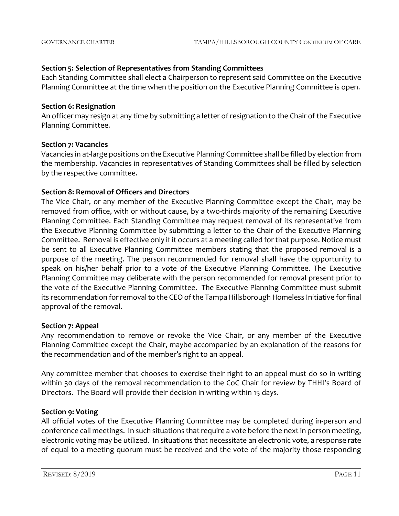## **Section 5: Selection of Representatives from Standing Committees**

Each Standing Committee shall elect a Chairperson to represent said Committee on the Executive Planning Committee at the time when the position on the Executive Planning Committee is open.

## **Section 6: Resignation**

An officer may resign at any time by submitting a letter of resignation to the Chair of the Executive Planning Committee.

## **Section 7: Vacancies**

Vacancies in at-large positions on the Executive Planning Committee shall be filled by election from the membership. Vacancies in representatives of Standing Committees shall be filled by selection by the respective committee.

## **Section 8: Removal of Officers and Directors**

The Vice Chair, or any member of the Executive Planning Committee except the Chair, may be removed from office, with or without cause, by a two-thirds majority of the remaining Executive Planning Committee. Each Standing Committee may request removal of its representative from the Executive Planning Committee by submitting a letter to the Chair of the Executive Planning Committee. Removal is effective only if it occurs at a meeting called for that purpose. Notice must be sent to all Executive Planning Committee members stating that the proposed removal is a purpose of the meeting. The person recommended for removal shall have the opportunity to speak on his/her behalf prior to a vote of the Executive Planning Committee. The Executive Planning Committee may deliberate with the person recommended for removal present prior to the vote of the Executive Planning Committee. The Executive Planning Committee must submit its recommendation for removal to the CEO of the Tampa Hillsborough Homeless Initiative for final approval of the removal.

## **Section 7: Appeal**

Any recommendation to remove or revoke the Vice Chair, or any member of the Executive Planning Committee except the Chair, maybe accompanied by an explanation of the reasons for the recommendation and of the member's right to an appeal.

Any committee member that chooses to exercise their right to an appeal must do so in writing within 30 days of the removal recommendation to the CoC Chair for review by THHI's Board of Directors. The Board will provide their decision in writing within 15 days.

## **Section 9: Voting**

All official votes of the Executive Planning Committee may be completed during in-person and conference call meetings. In such situations that require a vote before the next in person meeting, electronic voting may be utilized. In situations that necessitate an electronic vote, a response rate of equal to a meeting quorum must be received and the vote of the majority those responding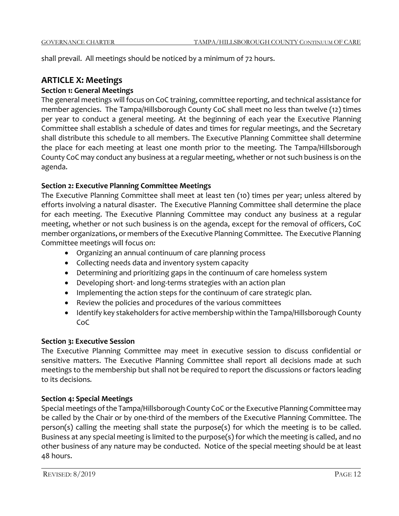shall prevail. All meetings should be noticed by a minimum of 72 hours.

## **ARTICLE X: Meetings**

## **Section 1: General Meetings**

The general meetings will focus on CoC training, committee reporting, and technical assistance for member agencies. The Tampa/Hillsborough County CoC shall meet no less than twelve (12) times per year to conduct a general meeting. At the beginning of each year the Executive Planning Committee shall establish a schedule of dates and times for regular meetings, and the Secretary shall distribute this schedule to all members. The Executive Planning Committee shall determine the place for each meeting at least one month prior to the meeting. The Tampa/Hillsborough County CoC may conduct any business at a regular meeting, whether or not such business is on the agenda.

## **Section 2: Executive Planning Committee Meetings**

The Executive Planning Committee shall meet at least ten (10) times per year; unless altered by efforts involving a natural disaster. The Executive Planning Committee shall determine the place for each meeting. The Executive Planning Committee may conduct any business at a regular meeting, whether or not such business is on the agenda, except for the removal of officers, CoC member organizations, or members of the Executive Planning Committee. The Executive Planning Committee meetings will focus on:

- Organizing an annual continuum of care planning process
- Collecting needs data and inventory system capacity
- Determining and prioritizing gaps in the continuum of care homeless system
- Developing short- and long-terms strategies with an action plan
- Implementing the action steps for the continuum of care strategic plan.
- Review the policies and procedures of the various committees
- Identify key stakeholders for active membership within the Tampa/Hillsborough County CoC

## **Section 3: Executive Session**

The Executive Planning Committee may meet in executive session to discuss confidential or sensitive matters. The Executive Planning Committee shall report all decisions made at such meetings to the membership but shall not be required to report the discussions or factors leading to its decisions*.*

## **Section 4: Special Meetings**

Special meetings of the Tampa/Hillsborough County CoC or the Executive Planning Committee may be called by the Chair or by one-third of the members of the Executive Planning Committee. The person(s) calling the meeting shall state the purpose(s) for which the meeting is to be called. Business at any special meeting is limited to the purpose(s) for which the meeting is called, and no other business of any nature may be conducted. Notice of the special meeting should be at least 48 hours.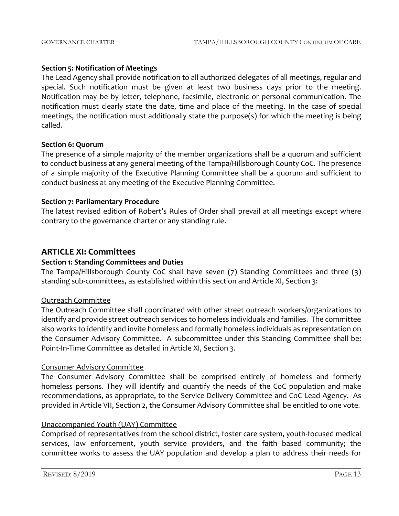## **Section 5: Notification of Meetings**

The Lead Agency shall provide notification to all authorized delegates of all meetings, regular and special. Such notification must be given at least two business days prior to the meeting. Notification may be by letter, telephone, facsimile, electronic or personal communication. The notification must clearly state the date, time and place of the meeting. In the case of special meetings, the notification must additionally state the purpose(s) for which the meeting is being called.

## **Section 6: Quorum**

The presence of a simple majority of the member organizations shall be a quorum and sufficient to conduct business at any general meeting of the Tampa/Hillsborough County CoC. The presence of a simple majority of the Executive Planning Committee shall be a quorum and sufficient to conduct business at any meeting of the Executive Planning Committee.

## **Section 7: Parliamentary Procedure**

The latest revised edition of Robert's Rules of Order shall prevail at all meetings except where contrary to the governance charter or any standing rule.

## **ARTICLE XI: Committees**

## **Section 1: Standing Committees and Duties**

The Tampa/Hillsborough County CoC shall have seven (7) Standing Committees and three (3) standing sub-committees, as established within this section and Article XI, Section 3:

## Outreach Committee

The Outreach Committee shall coordinated with other street outreach workers/organizations to identify and provide street outreach services to homeless individuals and families. The committee also works to identify and invite homeless and formally homeless individuals as representation on the Consumer Advisory Committee. A subcommittee under this Standing Committee shall be: Point-In-Time Committee as detailed in Article XI, Section 3.

## Consumer Advisory Committee

The Consumer Advisory Committee shall be comprised entirely of homeless and formerly homeless persons. They will identify and quantify the needs of the CoC population and make recommendations, as appropriate, to the Service Delivery Committee and CoC Lead Agency. As provided in Article VII, Section 2, the Consumer Advisory Committee shall be entitled to one vote.

## Unaccompanied Youth (UAY) Committee

Comprised of representatives from the school district, foster care system, youth-focused medical services, law enforcement, youth service providers, and the faith based community; the committee works to assess the UAY population and develop a plan to address their needs for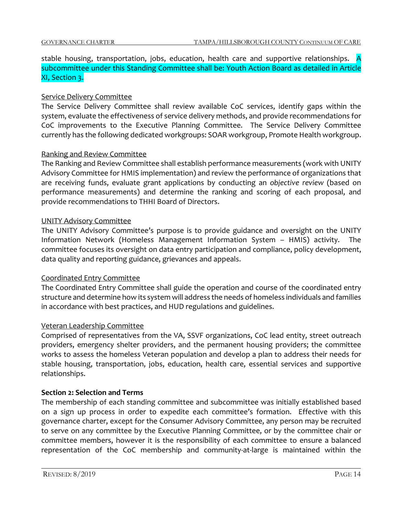## stable housing, transportation, jobs, education, health care and supportive relationships. A subcommittee under this Standing Committee shall be: Youth Action Board as detailed in Article XI, Section 3.

## Service Delivery Committee

The Service Delivery Committee shall review available CoC services, identify gaps within the system, evaluate the effectiveness of service delivery methods, and provide recommendations for CoC improvements to the Executive Planning Committee. The Service Delivery Committee currently has the following dedicated workgroups: SOAR workgroup, Promote Health workgroup.

## Ranking and Review Committee

The Ranking and Review Committee shall establish performance measurements (work with UNITY Advisory Committee for HMIS implementation) and review the performance of organizations that are receiving funds, evaluate grant applications by conducting an *objective review* (based on performance measurements) and determine the ranking and scoring of each proposal, and provide recommendations to THHI Board of Directors.

## UNITY Advisory Committee

The UNITY Advisory Committee's purpose is to provide guidance and oversight on the UNITY Information Network (Homeless Management Information System – HMIS) activity. The committee focuses its oversight on data entry participation and compliance, policy development, data quality and reporting guidance, grievances and appeals.

## Coordinated Entry Committee

The Coordinated Entry Committee shall guide the operation and course of the coordinated entry structure and determine how its system will address the needs of homeless individuals and families in accordance with best practices, and HUD regulations and guidelines.

## Veteran Leadership Committee

Comprised of representatives from the VA, SSVF organizations, CoC lead entity, street outreach providers, emergency shelter providers, and the permanent housing providers; the committee works to assess the homeless Veteran population and develop a plan to address their needs for stable housing, transportation, jobs, education, health care, essential services and supportive relationships.

## **Section 2: Selection and Terms**

The membership of each standing committee and subcommittee was initially established based on a sign up process in order to expedite each committee's formation. Effective with this governance charter, except for the Consumer Advisory Committee, any person may be recruited to serve on any committee by the Executive Planning Committee, or by the committee chair or committee members, however it is the responsibility of each committee to ensure a balanced representation of the CoC membership and community-at-large is maintained within the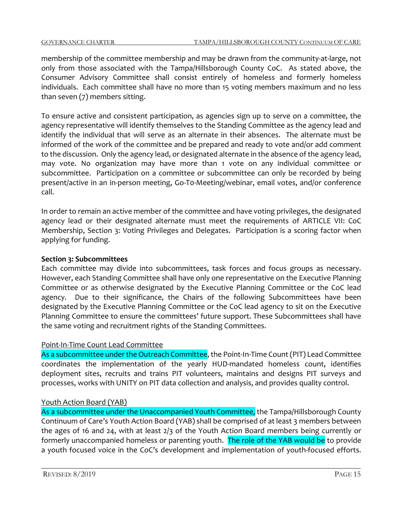membership of the committee membership and may be drawn from the community-at-large, not only from those associated with the Tampa/Hillsborough County CoC. As stated above, the Consumer Advisory Committee shall consist entirely of homeless and formerly homeless individuals. Each committee shall have no more than 15 voting members maximum and no less than seven (7) members sitting.

To ensure active and consistent participation, as agencies sign up to serve on a committee, the agency representative will identify themselves to the Standing Committee as the agency lead and identify the individual that will serve as an alternate in their absences. The alternate must be informed of the work of the committee and be prepared and ready to vote and/or add comment to the discussion. Only the agency lead, or designated alternate in the absence of the agency lead, may vote. No organization may have more than 1 vote on any individual committee or subcommittee. Participation on a committee or subcommittee can only be recorded by being present/active in an in-person meeting, Go-T0-Meeting/webinar, email votes, and/or conference call.

In order to remain an active member of the committee and have voting privileges, the designated agency lead or their designated alternate must meet the requirements of ARTICLE VII: CoC Membership, Section 3: Voting Privileges and Delegates. Participation is a scoring factor when applying for funding.

## **Section 3: Subcommittees**

Each committee may divide into subcommittees, task forces and focus groups as necessary. However, each Standing Committee shall have only one representative on the Executive Planning Committee or as otherwise designated by the Executive Planning Committee or the CoC lead agency. Due to their significance, the Chairs of the following Subcommittees have been designated by the Executive Planning Committee or the CoC lead agency to sit on the Executive Planning Committee to ensure the committees' future support. These Subcommittees shall have the same voting and recruitment rights of the Standing Committees.

## Point-In-Time Count Lead Committee

As a subcommittee under the Outreach Committee, the Point-In-Time Count (PIT) Lead Committee coordinates the implementation of the yearly HUD-mandated homeless count, identifies deployment sites, recruits and trains PIT volunteers, maintains and designs PIT surveys and processes, works with UNITY on PIT data collection and analysis, and provides quality control.

## Youth Action Board (YAB)

As a subcommittee under the Unaccompanied Youth Committee, the Tampa/Hillsborough County Continuum of Care's Youth Action Board (YAB) shall be comprised of at least 3 members between the ages of 16 and 24, with at least 2/3 of the Youth Action Board members being currently or formerly unaccompanied homeless or parenting youth. The role of the YAB would be to provide a youth focused voice in the CoC's development and implementation of youth-focused efforts.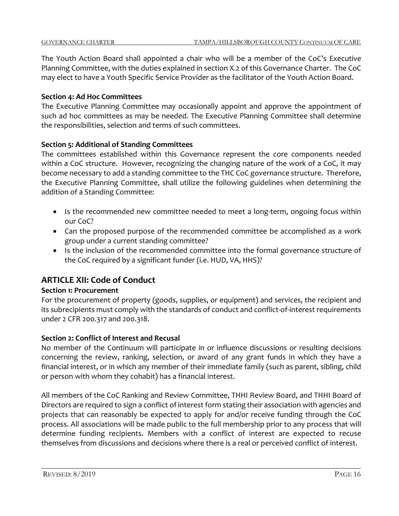The Youth Action Board shall appointed a chair who will be a member of the CoC's Executive Planning Committee, with the duties explained in section X.2 of this Governance Charter. The CoC may elect to have a Youth Specific Service Provider as the facilitator of the Youth Action Board.

## **Section 4: Ad Hoc Committees**

The Executive Planning Committee may occasionally appoint and approve the appointment of such ad hoc committees as may be needed. The Executive Planning Committee shall determine the responsibilities, selection and terms of such committees.

## **Section 5: Additional of Standing Committees**

The committees established within this Governance represent the core components needed within a CoC structure. However, recognizing the changing nature of the work of a CoC, it may become necessary to add a standing committee to the THC CoC governance structure. Therefore, the Executive Planning Committee, shall utilize the following guidelines when determining the addition of a Standing Committee:

- Is the recommended new committee needed to meet a long-term, ongoing focus within our CoC?
- Can the proposed purpose of the recommended committee be accomplished as a work group under a current standing committee?
- Is the inclusion of the recommended committee into the formal governance structure of the CoC required by a significant funder (i.e. HUD, VA, HHS)?

## **ARTICLE XII: Code of Conduct**

## **Section 1: Procurement**

For the procurement of property (goods, supplies, or equipment) and services, the recipient and its subrecipients must comply with the standards of conduct and conflict-of-interest requirements under 2 CFR 200.317 and 200.318.

## **Section 2: Conflict of Interest and Recusal**

No member of the Continuum will participate in or influence discussions or resulting decisions concerning the review, ranking, selection, or award of any grant funds in which they have a financial interest, or in which any member of their immediate family (such as parent, sibling, child or person with whom they cohabit) has a financial interest.

All members of the CoC Ranking and Review Committee, THHI Review Board, and THHI Board of Directors are required to sign a conflict of interest form stating their association with agencies and projects that can reasonably be expected to apply for and/or receive funding through the CoC process. All associations will be made public to the full membership prior to any process that will determine funding recipients. Members with a conflict of interest are expected to recuse themselves from discussions and decisions where there is a real or perceived conflict of interest.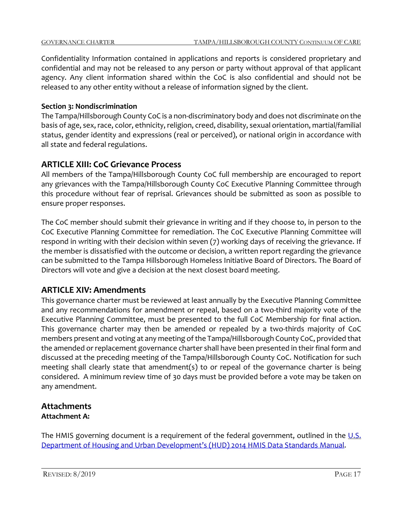Confidentiality Information contained in applications and reports is considered proprietary and confidential and may not be released to any person or party without approval of that applicant agency. Any client information shared within the CoC is also confidential and should not be released to any other entity without a release of information signed by the client.

## **Section 3: Nondiscrimination**

The Tampa/Hillsborough County CoC is a non-discriminatory body and does not discriminate on the basis of age, sex, race, color, ethnicity, religion, creed, disability, sexual orientation, martial/familial status, gender identity and expressions (real or perceived), or national origin in accordance with all state and federal regulations.

## **ARTICLE XIII: CoC Grievance Process**

All members of the Tampa/Hillsborough County CoC full membership are encouraged to report any grievances with the Tampa/Hillsborough County CoC Executive Planning Committee through this procedure without fear of reprisal. Grievances should be submitted as soon as possible to ensure proper responses.

The CoC member should submit their grievance in writing and if they choose to, in person to the CoC Executive Planning Committee for remediation. The CoC Executive Planning Committee will respond in writing with their decision within seven (7) working days of receiving the grievance. If the member is dissatisfied with the outcome or decision, a written report regarding the grievance can be submitted to the Tampa Hillsborough Homeless Initiative Board of Directors. The Board of Directors will vote and give a decision at the next closest board meeting.

## **ARTICLE XIV: Amendments**

This governance charter must be reviewed at least annually by the Executive Planning Committee and any recommendations for amendment or repeal, based on a two-third majority vote of the Executive Planning Committee, must be presented to the full CoC Membership for final action. This governance charter may then be amended or repealed by a two-thirds majority of CoC members present and voting at any meeting of the Tampa/Hillsborough County CoC, provided that the amended or replacement governance charter shall have been presented in their final form and discussed at the preceding meeting of the Tampa/Hillsborough County CoC. Notification for such meeting shall clearly state that amendment(s) to or repeal of the governance charter is being considered. A minimum review time of 30 days must be provided before a vote may be taken on any amendment.

## **Attachments Attachment A:**

The HMIS governing document is a requirement of the federal government, outlined in the  $U.S.$ [Department of Housing and Urban Development's \(HUD\) 2014 HMIS Data Standards Manual.](mailto:https://www.hudexchange.info/resources/documents/HMIS-Data-Standards-Manual.pdf)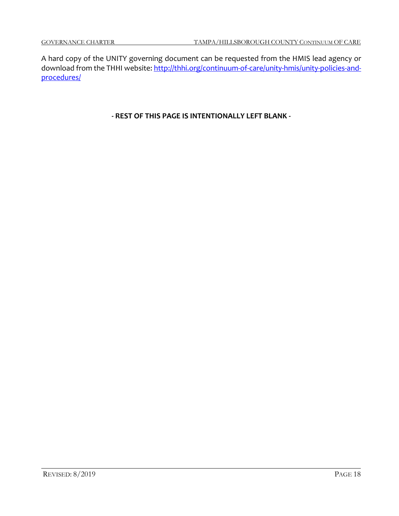A hard copy of the UNITY governing document can be requested from the HMIS lead agency or download from the THHI website: [http://thhi.org/continuum-of-care/unity-hmis/unity-policies-and](http://thhi.org/continuum-of-care/unity-hmis/unity-policies-and-procedures/)[procedures/](http://thhi.org/continuum-of-care/unity-hmis/unity-policies-and-procedures/)

**- REST OF THIS PAGE IS INTENTIONALLY LEFT BLANK -**